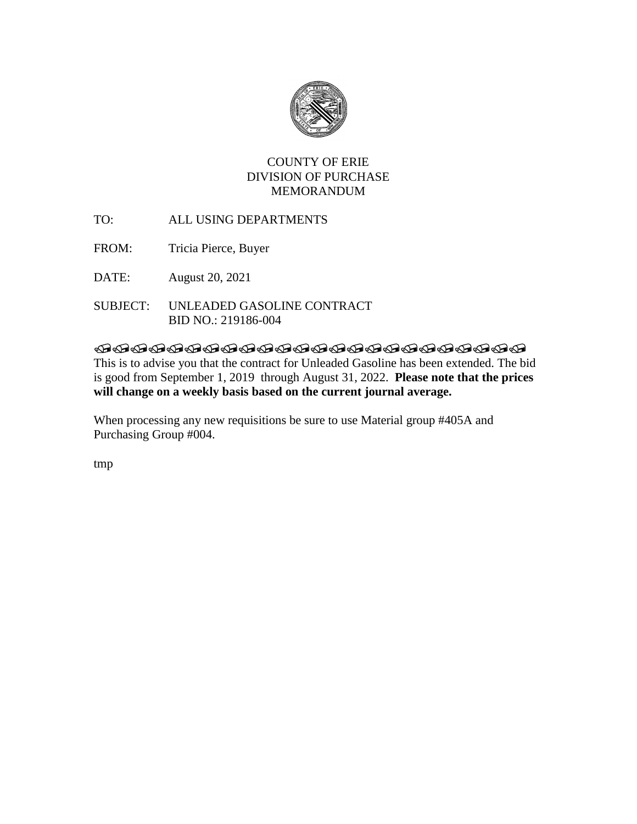

# COUNTY OF ERIE DIVISION OF PURCHASE MEMORANDUM

- TO: ALL USING DEPARTMENTS
- FROM: Tricia Pierce, Buyer
- DATE: August 20, 2021
- SUBJECT: UNLEADED GASOLINE CONTRACT BID NO.: 219186-004

# **TRADDADADADADADADADADAD**

This is to advise you that the contract for Unleaded Gasoline has been extended. The bid is good from September 1, 2019 through August 31, 2022. **Please note that the prices will change on a weekly basis based on the current journal average.** 

When processing any new requisitions be sure to use Material group #405A and Purchasing Group #004.

tmp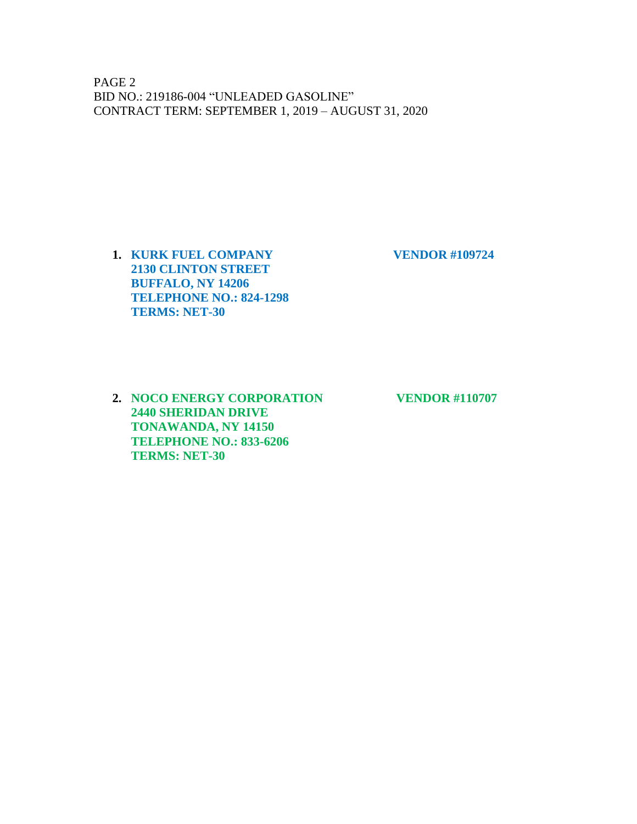PAGE 2 BID NO.: 219186-004 "UNLEADED GASOLINE" CONTRACT TERM: SEPTEMBER 1, 2019 – AUGUST 31, 2020

**1. KURK FUEL COMPANY VENDOR #109724 2130 CLINTON STREET BUFFALO, NY 14206 TELEPHONE NO.: 824-1298 TERMS: NET-30**

**2. NOCO ENERGY CORPORATION VENDOR #110707 2440 SHERIDAN DRIVE TONAWANDA, NY 14150 TELEPHONE NO.: 833-6206 TERMS: NET-30**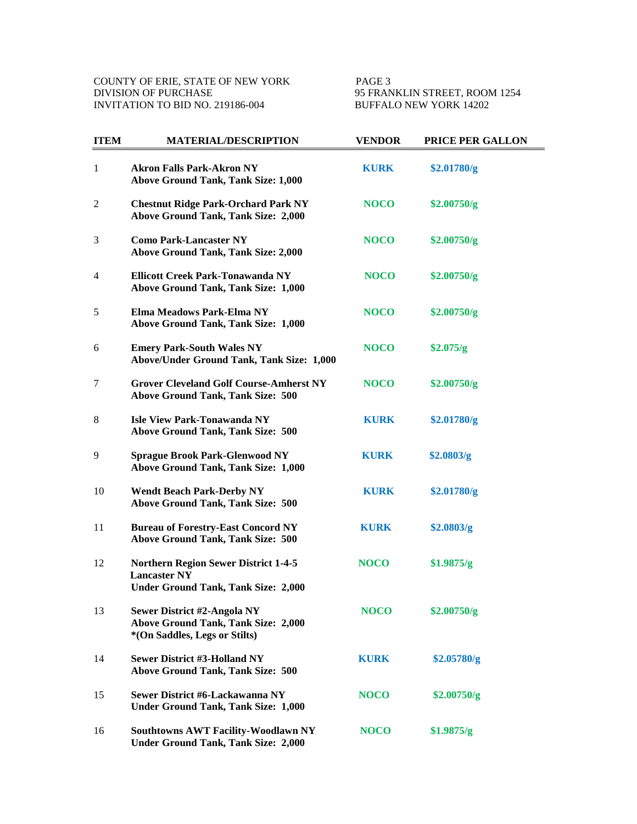95 FRANKLIN STREET, ROOM 1254 BUFFALO NEW YORK 14202

| <b>ITEM</b> | <b>MATERIAL/DESCRIPTION</b>                                                                                      | <b>VENDOR</b> | PRICE PER GALLON |
|-------------|------------------------------------------------------------------------------------------------------------------|---------------|------------------|
| 1           | <b>Akron Falls Park-Akron NY</b><br><b>Above Ground Tank, Tank Size: 1,000</b>                                   | <b>KURK</b>   | \$2.01780/g      |
| 2           | <b>Chestnut Ridge Park-Orchard Park NY</b><br><b>Above Ground Tank, Tank Size: 2,000</b>                         | <b>NOCO</b>   | \$2.00750/g      |
| 3           | <b>Como Park-Lancaster NY</b><br><b>Above Ground Tank, Tank Size: 2,000</b>                                      | <b>NOCO</b>   | \$2.00750/g      |
| 4           | <b>Ellicott Creek Park-Tonawanda NY</b><br>Above Ground Tank, Tank Size: 1,000                                   | <b>NOCO</b>   | \$2.00750/g      |
| 5           | Elma Meadows Park-Elma NY<br>Above Ground Tank, Tank Size: 1,000                                                 | <b>NOCO</b>   | \$2.00750/g      |
| 6           | <b>Emery Park-South Wales NY</b><br>Above/Under Ground Tank, Tank Size: 1,000                                    | <b>NOCO</b>   | \$2.075/g        |
| 7           | <b>Grover Cleveland Golf Course-Amherst NY</b><br><b>Above Ground Tank, Tank Size: 500</b>                       | <b>NOCO</b>   | \$2.00750/g      |
| 8           | <b>Isle View Park-Tonawanda NY</b><br><b>Above Ground Tank, Tank Size: 500</b>                                   | <b>KURK</b>   | \$2.01780/g      |
| 9           | <b>Sprague Brook Park-Glenwood NY</b><br>Above Ground Tank, Tank Size: 1,000                                     | <b>KURK</b>   | \$2.0803/g       |
| 10          | <b>Wendt Beach Park-Derby NY</b><br><b>Above Ground Tank, Tank Size: 500</b>                                     | <b>KURK</b>   | \$2.01780/g      |
| 11          | <b>Bureau of Forestry-East Concord NY</b><br><b>Above Ground Tank, Tank Size: 500</b>                            | <b>KURK</b>   | \$2.0803/g       |
| 12          | <b>Northern Region Sewer District 1-4-5</b><br><b>Lancaster NY</b><br><b>Under Ground Tank, Tank Size: 2,000</b> | <b>NOCO</b>   | \$1.9875/g       |
| 13          | Sewer District #2-Angola NY<br>Above Ground Tank, Tank Size: 2,000<br>*(On Saddles, Legs or Stilts)              | <b>NOCO</b>   | \$2.00750/g      |
| 14          | <b>Sewer District #3-Holland NY</b><br><b>Above Ground Tank, Tank Size: 500</b>                                  | <b>KURK</b>   | \$2.05780/g      |
| 15          | Sewer District #6-Lackawanna NY<br><b>Under Ground Tank, Tank Size: 1,000</b>                                    | <b>NOCO</b>   | \$2.00750/g      |
| 16          | <b>Southtowns AWT Facility-Woodlawn NY</b><br><b>Under Ground Tank, Tank Size: 2,000</b>                         | <b>NOCO</b>   | \$1.9875/g       |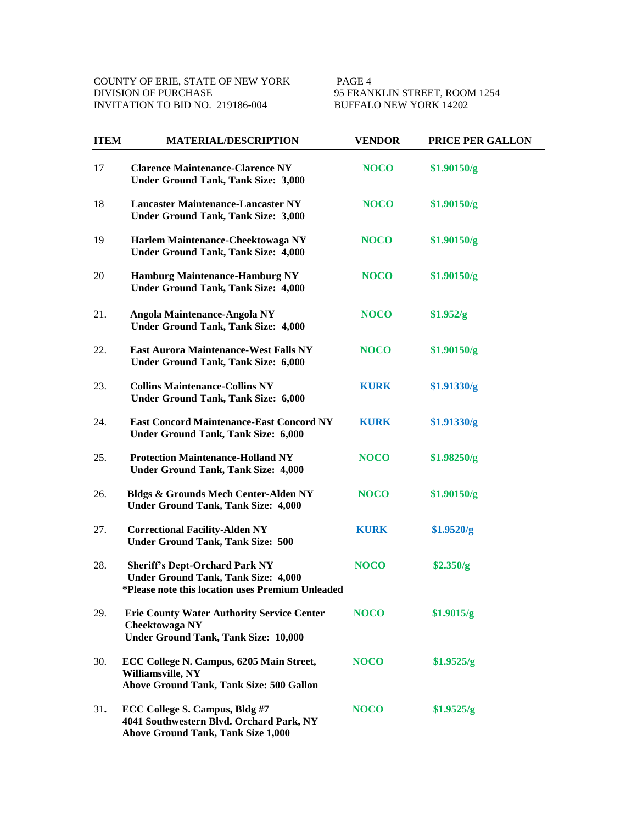95 FRANKLIN STREET, ROOM 1254<br>BUFFALO NEW YORK 14202

| <b>ITEM</b> | <b>MATERIAL/DESCRIPTION</b>                                                                                                             | <b>VENDOR</b> | PRICE PER GALLON |
|-------------|-----------------------------------------------------------------------------------------------------------------------------------------|---------------|------------------|
| 17          | <b>Clarence Maintenance-Clarence NY</b><br><b>Under Ground Tank, Tank Size: 3,000</b>                                                   | <b>NOCO</b>   | \$1.90150/g      |
| 18          | <b>Lancaster Maintenance-Lancaster NY</b><br><b>Under Ground Tank, Tank Size: 3,000</b>                                                 | <b>NOCO</b>   | \$1.90150/g      |
| 19          | Harlem Maintenance-Cheektowaga NY<br><b>Under Ground Tank, Tank Size: 4,000</b>                                                         | <b>NOCO</b>   | \$1.90150/g      |
| 20          | <b>Hamburg Maintenance-Hamburg NY</b><br><b>Under Ground Tank, Tank Size: 4,000</b>                                                     | <b>NOCO</b>   | \$1.90150/g      |
| 21.         | Angola Maintenance-Angola NY<br><b>Under Ground Tank, Tank Size: 4,000</b>                                                              | <b>NOCO</b>   | \$1.952/g        |
| 22.         | <b>East Aurora Maintenance-West Falls NY</b><br><b>Under Ground Tank, Tank Size: 6,000</b>                                              | <b>NOCO</b>   | \$1.90150/g      |
| 23.         | <b>Collins Maintenance-Collins NY</b><br><b>Under Ground Tank, Tank Size: 6,000</b>                                                     | <b>KURK</b>   | \$1.91330/g      |
| 24.         | <b>East Concord Maintenance-East Concord NY</b><br><b>Under Ground Tank, Tank Size: 6,000</b>                                           | <b>KURK</b>   | \$1.91330/g      |
| 25.         | <b>Protection Maintenance-Holland NY</b><br><b>Under Ground Tank, Tank Size: 4,000</b>                                                  | <b>NOCO</b>   | \$1.98250/g      |
| 26.         | <b>Bldgs &amp; Grounds Mech Center-Alden NY</b><br><b>Under Ground Tank, Tank Size: 4,000</b>                                           | <b>NOCO</b>   | \$1.90150/g      |
| 27.         | <b>Correctional Facility-Alden NY</b><br><b>Under Ground Tank, Tank Size: 500</b>                                                       | <b>KURK</b>   | \$1.9520/g       |
| 28.         | <b>Sheriff's Dept-Orchard Park NY</b><br><b>Under Ground Tank, Tank Size: 4,000</b><br>*Please note this location uses Premium Unleaded | <b>NOCO</b>   | \$2.350/g        |
| 29.         | <b>Erie County Water Authority Service Center</b><br>Cheektowaga NY<br><b>Under Ground Tank, Tank Size: 10,000</b>                      | <b>NOCO</b>   | \$1.9015/g       |
| 30.         | ECC College N. Campus, 6205 Main Street,<br>Williamsville, NY<br>Above Ground Tank, Tank Size: 500 Gallon                               | <b>NOCO</b>   | \$1.9525/g       |
| 31.         | ECC College S. Campus, Bldg #7<br>4041 Southwestern Blvd. Orchard Park, NY<br><b>Above Ground Tank, Tank Size 1,000</b>                 | <b>NOCO</b>   | \$1.9525/g       |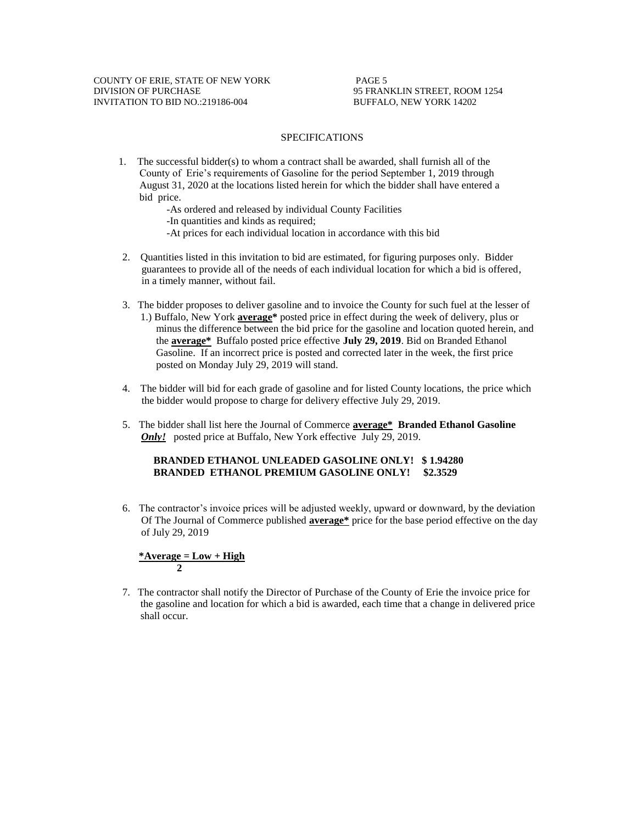#### SPECIFICATIONS

1. The successful bidder(s) to whom a contract shall be awarded, shall furnish all of the County of Erie's requirements of Gasoline for the period September 1, 2019 through August 31, 2020 at the locations listed herein for which the bidder shall have entered a bid price.

-As ordered and released by individual County Facilities

-In quantities and kinds as required;

- -At prices for each individual location in accordance with this bid
- 2. Quantities listed in this invitation to bid are estimated, for figuring purposes only. Bidder guarantees to provide all of the needs of each individual location for which a bid is offered, in a timely manner, without fail.
- 3. The bidder proposes to deliver gasoline and to invoice the County for such fuel at the lesser of 1.) Buffalo, New York **average\*** posted price in effect during the week of delivery, plus or minus the difference between the bid price for the gasoline and location quoted herein, and the **average\*** Buffalo posted price effective **July 29, 2019**. Bid on Branded Ethanol Gasoline. If an incorrect price is posted and corrected later in the week, the first price posted on Monday July 29, 2019 will stand.
- 4. The bidder will bid for each grade of gasoline and for listed County locations, the price which the bidder would propose to charge for delivery effective July 29, 2019.
- 5. The bidder shall list here the Journal of Commerce **average\* Branded Ethanol Gasoline**  *Only!* posted price at Buffalo, New York effective July 29, 2019.

### **BRANDED ETHANOL UNLEADED GASOLINE ONLY! \$ 1.94280 BRANDED ETHANOL PREMIUM GASOLINE ONLY! \$2.3529**

6. The contractor's invoice prices will be adjusted weekly, upward or downward, by the deviation Of The Journal of Commerce published **average\*** price for the base period effective on the day of July 29, 2019

$$
\frac{\text{*Average} = \text{Low} + \text{High}}{2}
$$

 7. The contractor shall notify the Director of Purchase of the County of Erie the invoice price for the gasoline and location for which a bid is awarded, each time that a change in delivered price shall occur.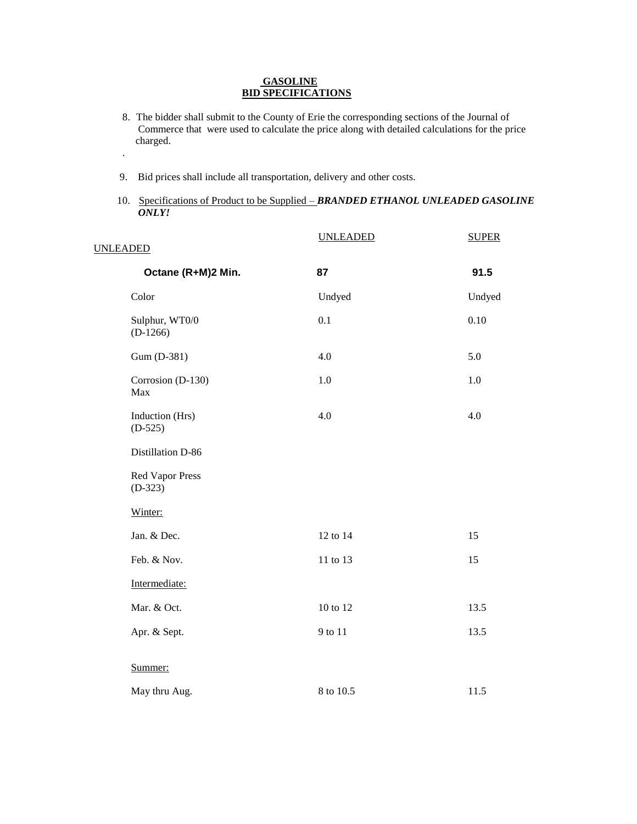### **GASOLINE BID SPECIFICATIONS**

- 8. The bidder shall submit to the County of Erie the corresponding sections of the Journal of Commerce that were used to calculate the price along with detailed calculations for the price charged.
- 9. Bid prices shall include all transportation, delivery and other costs.

.

10. Specifications of Product to be Supplied – *BRANDED ETHANOL UNLEADED GASOLINE ONLY!*

| <b>UNLEADED</b>                     | <b>UNLEADED</b> | <b>SUPER</b> |
|-------------------------------------|-----------------|--------------|
|                                     |                 |              |
| Octane (R+M)2 Min.                  | 87              | 91.5         |
| Color                               | Undyed          | Undyed       |
| Sulphur, WT0/0<br>$(D-1266)$        | 0.1             | 0.10         |
| Gum (D-381)                         | 4.0             | 5.0          |
| Corrosion (D-130)<br>Max            | 1.0             | 1.0          |
| Induction (Hrs)<br>$(D-525)$        | 4.0             | 4.0          |
| Distillation D-86                   |                 |              |
| <b>Red Vapor Press</b><br>$(D-323)$ |                 |              |
| Winter:                             |                 |              |
| Jan. & Dec.                         | 12 to 14        | 15           |
| Feb. & Nov.                         | 11 to 13        | 15           |
| Intermediate:                       |                 |              |
| Mar. & Oct.                         | 10 to 12        | 13.5         |
| Apr. & Sept.                        | 9 to 11         | 13.5         |
| Summer:                             |                 |              |
| May thru Aug.                       | 8 to 10.5       | 11.5         |